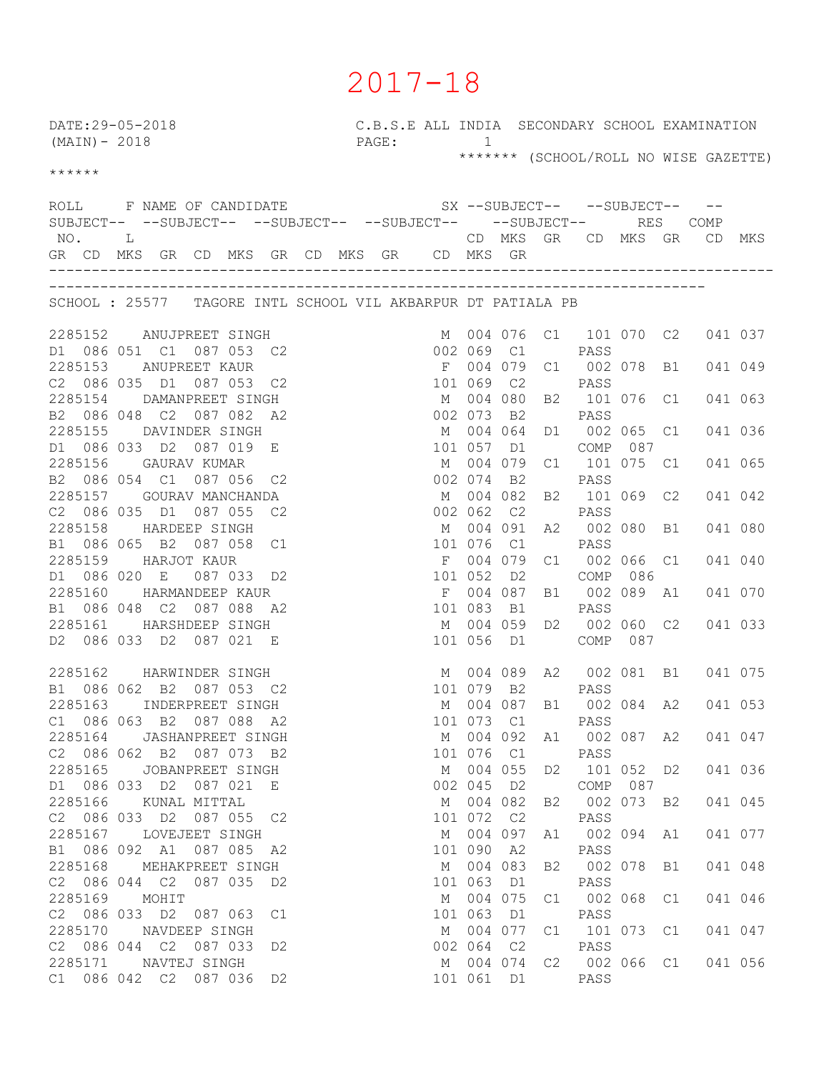## 2017-18

C.B.S.E ALL INDIA SECONDARY SCHOOL EXAMINATION<br>PAGE: 1 DATE:29-05-2018 <br>
(MAIN)-2018 <br>
PAGE: 1 \*\*\*\*\*\*\* (SCHOOL/ROLL NO WISE GAZETTE) \*\*\*\*\*\* ROLL F NAME OF CANDIDATE SX --SUBJECT-- --SUBJECT-- --SUBJECT-- --SUBJECT-- --SUBJECT-- --SUBJECT-- --SUBJECT-- RES COMP NO. L CD MKS GR CD MKS GR CD MKS GR CD MKS GR CD MKS GR CD MKS GR CD MKS GR CD MKS GR ------------------------------------------------------------------------------------- ----------------------------------------------------------------------------- SCHOOL : 25577 TAGORE INTL SCHOOL VIL AKBARPUR DT PATIALA PB 2285152 ANUJPREET SINGH M 004 076 C1 101 070 C2 041 037 D1 086 051 C1 087 053 C2 002 069 C1 PASS 2285153 ANUPREET KAUR F 004 079 C1 002 078 B1 041 049 C2 086 035 D1 087 053 C2 101 069 C2 PASS 2285154 DAMANPREET SINGH M 004 080 B2 101 076 C1 041 063 B2 086 048 C2 087 082 A2 002 073 B2 PASS 2285155 DAVINDER SINGH M 004 064 D1 002 065 C1 041 036 D1 086 033 D2 087 019 E 101 057 D1 COMP 087 2285156 GAURAV KUMAR M 004 079 C1 101 075 C1 041 065 B2 086 054 C1 087 056 C2 002 074 B2 PASS 2285157 GOURAV MANCHANDA M 004 082 B2 101 069 C2 041 042 C2 086 035 D1 087 055 C2 002 062 C2 PASS 2285158 HARDEEP SINGH M 004 091 A2 002 080 B1 041 080 B1 086 065 B2 087 058 C1 101 076 C1 PASS 2285159 HARJOT KAUR F 004 079 C1 002 066 C1 041 040 D1 086 020 E 087 033 D2 101 052 D2 COMP 086 2285160 HARMANDEEP KAUR F 004 087 B1 002 089 A1 041 070 B1 086 048 C2 087 088 A2 101 083 B1 PASS 2285161 HARSHDEEP SINGH M 004 059 D2 002 060 C2 041 033 D2 086 033 D2 087 021 E 101 056 D1 COMP 087 2285162 HARWINDER SINGH M 004 089 A2 002 081 B1 041 075 B1 086 062 B2 087 053 C2 101 079 B2 PASS 2285163 INDERPREET SINGH M 004 087 B1 002 084 A2 041 053 C1 086 063 B2 087 088 A2 101 073 C1 PASS 2285164 JASHANPREET SINGH M 004 092 A1 002 087 A2 041 047 C2 086 062 B2 087 073 B2 101 076 C1 PASS 2285165 JOBANPREET SINGH M 004 055 D2 101 052 D2 041 036 D1 086 033 D2 087 021 E 002 045 D2 COMP 087 2285166 KUNAL MITTAL M 004 082 B2 002 073 B2 041 045 C2 086 033 D2 087 055 C2 101 072 C2 PASS 2285167 LOVEJEET SINGH M 004 097 A1 002 094 A1 041 077 B1 086 092 A1 087 085 A2 101 090 A2 PASS 2285168 MEHAKPREET SINGH M 004 083 B2 002 078 B1 041 048 C2 086 044 C2 087 035 D2 101 063 D1 PASS 2285169 MOHIT M 004 075 C1 002 068 C1 041 046 C2 086 033 D2 087 063 C1 101 063 D1 PASS 2285170 NAVDEEP SINGH M 004 077 C1 101 073 C1 041 047 C2 086 044 C2 087 033 D2 002 064 C2 PASS 2285171 NAVTEJ SINGH M 004 074 C2 002 066 C1 041 056 C1 086 042 C2 087 036 D2 101 061 D1 PASS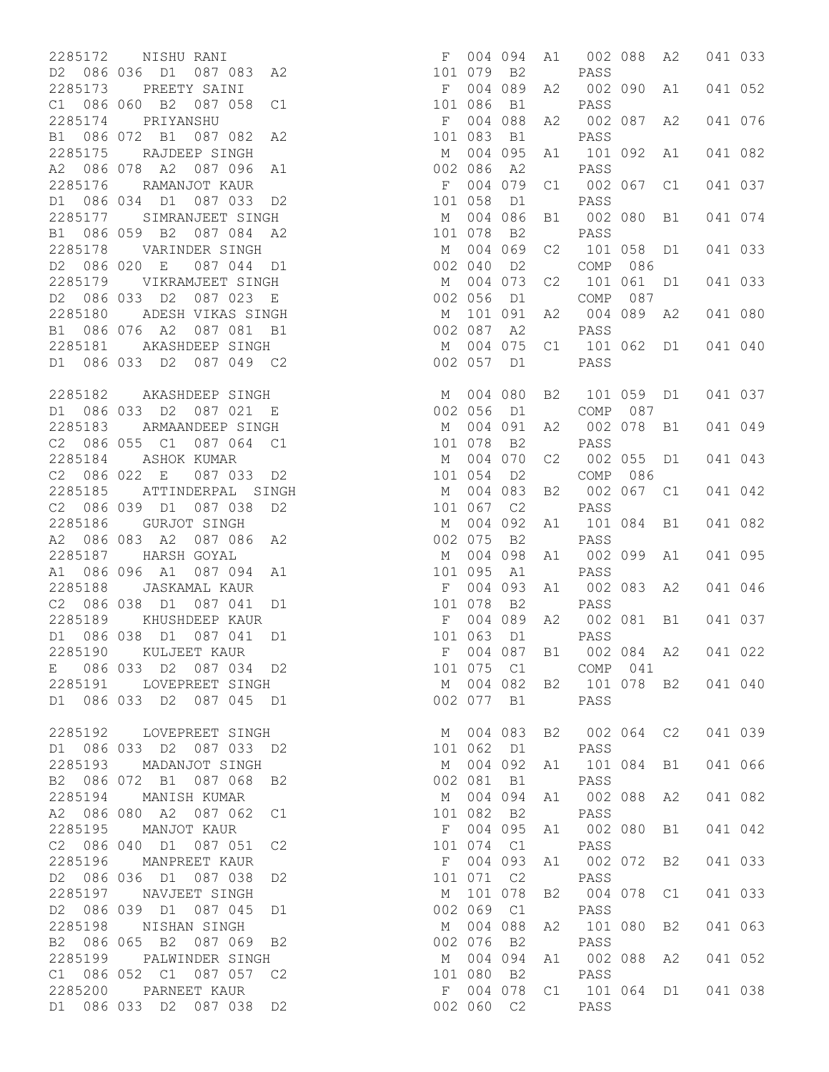2285172 NISHU RANI D2 086 036 D1 087 083 A2 2285173 PREETY SAINI C1 086 060 B2 087 058 C1 2285174 PRIYANSHU B1 086 072 B1 087 082 A2 2285175 RAJDEEP SINGH A2 086 078 A2 087 096 A1 2285176 RAMANJOT KAUR D1 086 034 D1 087 033 D2 2285177 SIMRANJEET SINGH B1 086 059 B2 087 084 A2 2285178 VARINDER SINGH D2 086 020 E 087 044 D1 2285179 VIKRAMJEET SINGH D2 086 033 D2 087 023 E 2285180 ADESH VIKAS SINGH B1 086 076 A2 087 081 B1 2285181 AKASHDEEP SINGH D1 086 033 D2 087 049 C2 2285182 AKASHDEEP SINGH D1 086 033 D2 087 021 E 2285183 ARMAANDEEP SINGH C2 086 055 C1 087 064 C1 2285184 ASHOK KUMAR C2 086 022 E 087 033 D2 2285185 ATTINDERPAL SINGH C2 086 039 D1 087 038 D2 2285186 GURJOT SINGH A2 086 083 A2 087 086 A2 2285187 HARSH GOYAL A1 086 096 A1 087 094 A1 2285188 JASKAMAL KAUR C2 086 038 D1 087 041 D1 2285189 KHUSHDEEP KAUR D1 086 038 D1 087 041 D1 2285190 KULJEET KAUR E 086 033 D2 087 034 D2 2285191 LOVEPREET SINGH D1 086 033 D2 087 045 D1 2285192 LOVEPREET SINGH D1 086 033 D2 087 033 D2 2285193 MADANJOT SINGH B2 086 072 B1 087 068 B2 2285194 MANISH KUMAR A2 086 080 A2 087 062 C1 2285195 MANJOT KAUR C2 086 040 D1 087 051 C2 2285196 MANPREET KAUR D2 086 036 D1 087 038 D2 2285197 NAVJEET SINGH D2 086 039 D1 087 045 D1 2285198 NISHAN SINGH B2 086 065 B2 087 069 B2 2285199 PALWINDER SINGH C1 086 052 C1 087 057 C2 2285200 PARNEET KAUR D1 086 033 D2 087 038 D2

| 004        | 094                                                                                                                 | A1                                                                                                                                                                                                                                               | 002                                                                           | 088                                                                                                                                                                                                                                    | A2                                                                                         | 041                                   | 033                                                                                                                                                                                                                                                      |
|------------|---------------------------------------------------------------------------------------------------------------------|--------------------------------------------------------------------------------------------------------------------------------------------------------------------------------------------------------------------------------------------------|-------------------------------------------------------------------------------|----------------------------------------------------------------------------------------------------------------------------------------------------------------------------------------------------------------------------------------|--------------------------------------------------------------------------------------------|---------------------------------------|----------------------------------------------------------------------------------------------------------------------------------------------------------------------------------------------------------------------------------------------------------|
| 004        | 089                                                                                                                 | A2                                                                                                                                                                                                                                               | 002                                                                           | 090                                                                                                                                                                                                                                    | A1                                                                                         | 041                                   | 052                                                                                                                                                                                                                                                      |
| 004        | 088                                                                                                                 | A2                                                                                                                                                                                                                                               | 002                                                                           | 087                                                                                                                                                                                                                                    | A2                                                                                         | 041                                   | 076                                                                                                                                                                                                                                                      |
| 004        | 095                                                                                                                 | A1                                                                                                                                                                                                                                               | 101                                                                           | 092                                                                                                                                                                                                                                    | A1                                                                                         | 041                                   | 082                                                                                                                                                                                                                                                      |
| 086<br>004 | A2<br>079                                                                                                           | C1                                                                                                                                                                                                                                               | PASS<br>002                                                                   | 067                                                                                                                                                                                                                                    | C1                                                                                         | 041                                   | 037                                                                                                                                                                                                                                                      |
| 058        | D1                                                                                                                  |                                                                                                                                                                                                                                                  | PASS                                                                          |                                                                                                                                                                                                                                        |                                                                                            |                                       | 074                                                                                                                                                                                                                                                      |
| 078        | B <sub>2</sub>                                                                                                      |                                                                                                                                                                                                                                                  | PASS                                                                          |                                                                                                                                                                                                                                        |                                                                                            |                                       |                                                                                                                                                                                                                                                          |
| 040        | D <sub>2</sub>                                                                                                      |                                                                                                                                                                                                                                                  | COMP                                                                          | 086                                                                                                                                                                                                                                    |                                                                                            |                                       | 033                                                                                                                                                                                                                                                      |
| 056        | D1                                                                                                                  | C <sub>2</sub>                                                                                                                                                                                                                                   | COMP                                                                          | 087                                                                                                                                                                                                                                    | D1                                                                                         |                                       | 033                                                                                                                                                                                                                                                      |
| 101        | 091                                                                                                                 | A2                                                                                                                                                                                                                                               | 004                                                                           | 089                                                                                                                                                                                                                                    | A2                                                                                         | 041                                   | 080                                                                                                                                                                                                                                                      |
| 004        | 075                                                                                                                 | C1                                                                                                                                                                                                                                               | 101                                                                           | 062                                                                                                                                                                                                                                    | D1                                                                                         |                                       | 041 040                                                                                                                                                                                                                                                  |
|            |                                                                                                                     |                                                                                                                                                                                                                                                  |                                                                               |                                                                                                                                                                                                                                        |                                                                                            |                                       |                                                                                                                                                                                                                                                          |
| 004<br>056 | 080                                                                                                                 |                                                                                                                                                                                                                                                  | 101                                                                           |                                                                                                                                                                                                                                        | D1                                                                                         | 041                                   | 037                                                                                                                                                                                                                                                      |
| 004        | 091                                                                                                                 | A2                                                                                                                                                                                                                                               | 002                                                                           | 078                                                                                                                                                                                                                                    | B1                                                                                         | 041                                   | 049                                                                                                                                                                                                                                                      |
| 004        | 070                                                                                                                 | C2                                                                                                                                                                                                                                               | 002                                                                           | 055                                                                                                                                                                                                                                    | D1                                                                                         | 041                                   | 043                                                                                                                                                                                                                                                      |
| 004        | 083                                                                                                                 | B <sub>2</sub>                                                                                                                                                                                                                                   | 002                                                                           | 067                                                                                                                                                                                                                                    | C1                                                                                         | 041                                   | 042                                                                                                                                                                                                                                                      |
| 004        | 092                                                                                                                 | A1                                                                                                                                                                                                                                               | 101                                                                           | 084                                                                                                                                                                                                                                    | B1                                                                                         | 041                                   | 082                                                                                                                                                                                                                                                      |
| 075        | B2                                                                                                                  |                                                                                                                                                                                                                                                  | PASS                                                                          |                                                                                                                                                                                                                                        |                                                                                            |                                       | 095                                                                                                                                                                                                                                                      |
| 095        | A1                                                                                                                  |                                                                                                                                                                                                                                                  | PASS                                                                          |                                                                                                                                                                                                                                        |                                                                                            |                                       |                                                                                                                                                                                                                                                          |
| 078        | B <sub>2</sub>                                                                                                      |                                                                                                                                                                                                                                                  | PASS                                                                          |                                                                                                                                                                                                                                        |                                                                                            |                                       | 046                                                                                                                                                                                                                                                      |
| 004<br>063 | D1                                                                                                                  | A2                                                                                                                                                                                                                                               | 002                                                                           |                                                                                                                                                                                                                                        | B1                                                                                         |                                       | 037                                                                                                                                                                                                                                                      |
|            |                                                                                                                     | B1                                                                                                                                                                                                                                               |                                                                               |                                                                                                                                                                                                                                        |                                                                                            | 041 022                               |                                                                                                                                                                                                                                                          |
|            |                                                                                                                     |                                                                                                                                                                                                                                                  |                                                                               |                                                                                                                                                                                                                                        |                                                                                            |                                       |                                                                                                                                                                                                                                                          |
|            |                                                                                                                     |                                                                                                                                                                                                                                                  |                                                                               |                                                                                                                                                                                                                                        |                                                                                            |                                       |                                                                                                                                                                                                                                                          |
|            |                                                                                                                     |                                                                                                                                                                                                                                                  |                                                                               |                                                                                                                                                                                                                                        |                                                                                            |                                       |                                                                                                                                                                                                                                                          |
| 004        |                                                                                                                     |                                                                                                                                                                                                                                                  |                                                                               |                                                                                                                                                                                                                                        |                                                                                            | 041 066                               |                                                                                                                                                                                                                                                          |
|            |                                                                                                                     |                                                                                                                                                                                                                                                  |                                                                               |                                                                                                                                                                                                                                        |                                                                                            |                                       |                                                                                                                                                                                                                                                          |
| 004        |                                                                                                                     |                                                                                                                                                                                                                                                  |                                                                               |                                                                                                                                                                                                                                        |                                                                                            |                                       |                                                                                                                                                                                                                                                          |
| 004        |                                                                                                                     |                                                                                                                                                                                                                                                  | PASS<br>002                                                                   |                                                                                                                                                                                                                                        |                                                                                            |                                       |                                                                                                                                                                                                                                                          |
| 071        |                                                                                                                     |                                                                                                                                                                                                                                                  | PASS                                                                          |                                                                                                                                                                                                                                        |                                                                                            |                                       |                                                                                                                                                                                                                                                          |
| 069        |                                                                                                                     |                                                                                                                                                                                                                                                  | PASS                                                                          |                                                                                                                                                                                                                                        |                                                                                            |                                       |                                                                                                                                                                                                                                                          |
| 076        |                                                                                                                     |                                                                                                                                                                                                                                                  | PASS                                                                          |                                                                                                                                                                                                                                        |                                                                                            |                                       |                                                                                                                                                                                                                                                          |
|            |                                                                                                                     |                                                                                                                                                                                                                                                  | PASS                                                                          |                                                                                                                                                                                                                                        |                                                                                            |                                       |                                                                                                                                                                                                                                                          |
|            |                                                                                                                     |                                                                                                                                                                                                                                                  |                                                                               |                                                                                                                                                                                                                                        |                                                                                            |                                       |                                                                                                                                                                                                                                                          |
|            | 079<br>086<br>083<br>004<br>004<br>004<br>087<br>057<br>078<br>054<br>067<br>004<br>004<br>081<br>101<br>004<br>004 | B <sub>2</sub><br>B1<br>B1<br>086<br>069<br>073<br>A2<br>D1<br>D1<br>B2<br>D <sub>2</sub><br>C2<br>098<br>093<br>089<br>004 087<br>101 075 C1<br>002 077 B1<br>062 D1<br><b>B1</b><br>082 B2<br>074 C1<br>C2<br>C1<br>B2<br>080 B2<br>002 060 C2 | B1<br>C2<br>B <sub>2</sub><br>A1<br>A1<br>004 094<br>095<br>093<br>078<br>088 | PASS<br>PASS<br>PASS<br>002<br>101<br>101<br>PASS<br>PASS<br>COMP<br>PASS<br>COMP<br>PASS<br>002<br>002<br>PASS<br>PASS<br>PASS<br>092 A1<br>PASS<br>A1<br>PASS<br>A1<br>A1<br>B2<br>004<br>A2<br>101<br>094 A1<br>002<br>F 004 078 C1 | 080<br>058<br>061<br>059<br>087<br>086<br>099<br>083<br>081<br>002 084<br>COMP 041<br>PASS | B1<br>D1<br>A1<br>A2<br>A2<br>002 080 | 041<br>041<br>041<br>041<br>041<br>041<br>004 082 B2 101 078 B2 041 040<br>004 083 B2 002 064 C2 041 039<br>101 084 B1<br>002 088 A2 041 082<br>B1 041 042<br>072 B2 041 033<br>078 C1 041 033<br>080 B2 041 063<br>088 A2 041 052<br>101 064 D1 041 038 |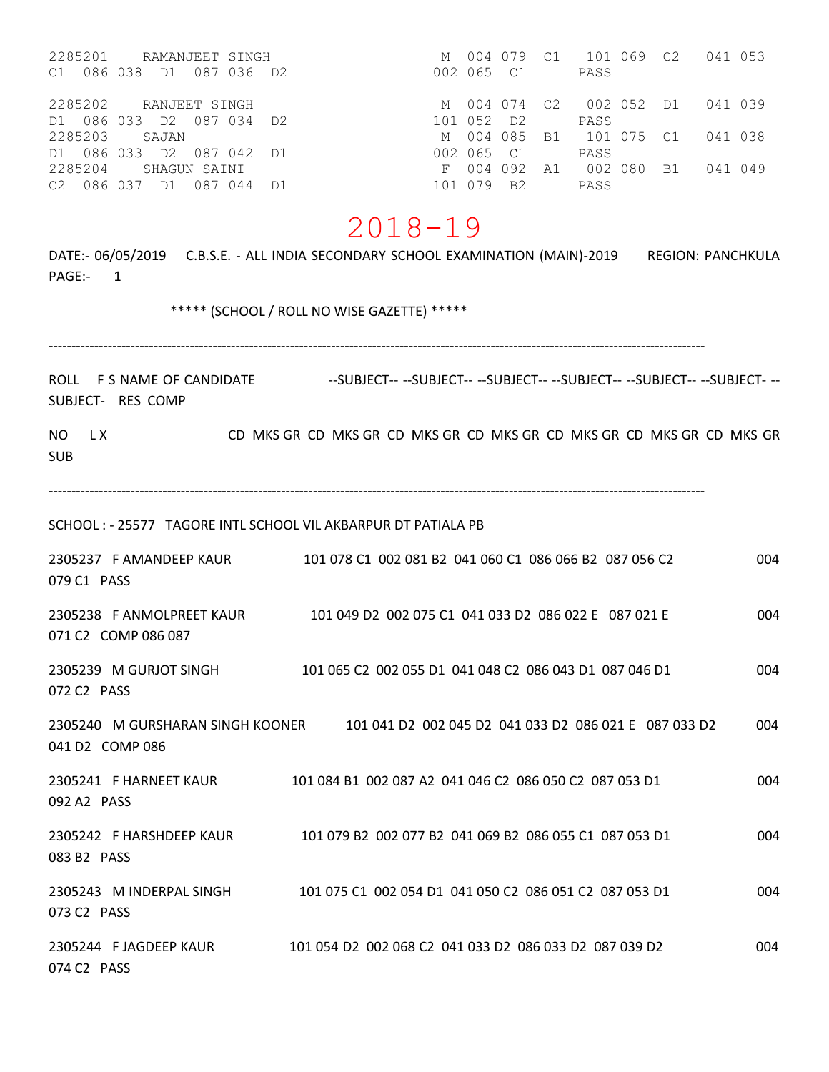| 2285201 RAMANJEET SINGH  |               |  | M 004 079  |           | C1              | 101 069              |                         | C2        | 041 053 |  |
|--------------------------|---------------|--|------------|-----------|-----------------|----------------------|-------------------------|-----------|---------|--|
| C1 086 038               | D1 087 036 D2 |  | 002 065 C1 |           |                 | PASS                 |                         |           |         |  |
| 2285202                  | RANJEET SINGH |  |            |           |                 |                      | M 004 074 C2 002 052 D1 |           | 041 039 |  |
| D1 086 033 D2 087 034 D2 |               |  | 101 052 D2 |           |                 | PASS                 |                         |           |         |  |
| 2285203                  | SAJAN         |  |            |           |                 | M 004 085 B1 101 075 |                         | C.1       | 041 038 |  |
| D1 086 033 D2 087 042 D1 |               |  | 002 065 C1 |           |                 | PASS                 |                         |           |         |  |
| 2285204                  | SHAGUN SAINI  |  |            | F 004 092 | $\overline{A}1$ | 002 080              |                         | <b>B1</b> | 041 049 |  |
| C2 086 037 D1 087 044 D1 |               |  | 101 079 B2 |           |                 | PASS                 |                         |           |         |  |

# 2018-19

DATE:- 06/05/2019 C.B.S.E. - ALL INDIA SECONDARY SCHOOL EXAMINATION (MAIN)-2019 REGION: PANCHKULA PAGE:- 1

\*\*\*\*\* (SCHOOL / ROLL NO WISE GAZETTE) \*\*\*\*\*

------------------------------------------------------------------------------------------------------------------------------------------------

ROLL F S NAME OF CANDIDATE ---SUBJECT----SUBJECT----SUBJECT----SUBJECT----SUBJECT----SUBJECT---SUBJECT- RES COMP

NO LX CD MKS GR CD MKS GR CD MKS GR CD MKS GR CD MKS GR CD MKS GR CD MKS GR CD MKS GR SUB

------------------------------------------------------------------------------------------------------------------------------------------------

SCHOOL : - 25577 TAGORE INTL SCHOOL VIL AKBARPUR DT PATIALA PB

| 2305237 F AMANDEEP KAUR<br>079 C1 PASS              | 101 078 C1 002 081 B2 041 060 C1 086 066 B2 087 056 C2                                 | 004 |
|-----------------------------------------------------|----------------------------------------------------------------------------------------|-----|
| 2305238 F ANMOLPREET KAUR<br>071 C2 COMP 086 087    | 101 049 D2 002 075 C1 041 033 D2 086 022 E 087 021 E                                   | 004 |
| 2305239 M GURJOT SINGH<br>072 C <sub>2</sub> PASS   | 101 065 C2 002 055 D1 041 048 C2 086 043 D1 087 046 D1                                 | 004 |
| 041 D <sub>2</sub> COMP 086                         | 2305240 M GURSHARAN SINGH KOONER 101 041 D2 002 045 D2 041 033 D2 086 021 E 087 033 D2 | 004 |
| 2305241 F HARNEET KAUR<br>092 A2 PASS               | 101 084 B1 002 087 A2 041 046 C2 086 050 C2 087 053 D1                                 | 004 |
| 2305242 F HARSHDEEP KAUR<br>083 B2 PASS             | 101 079 B2 002 077 B2 041 069 B2 086 055 C1 087 053 D1                                 | 004 |
| 2305243 M INDERPAL SINGH<br>073 C <sub>2</sub> PASS | 101 075 C1 002 054 D1 041 050 C2 086 051 C2 087 053 D1                                 | 004 |
| 2305244 FJAGDEEP KAUR<br>074 C <sub>2</sub> PASS    | 101 054 D2 002 068 C2 041 033 D2 086 033 D2 087 039 D2                                 | 004 |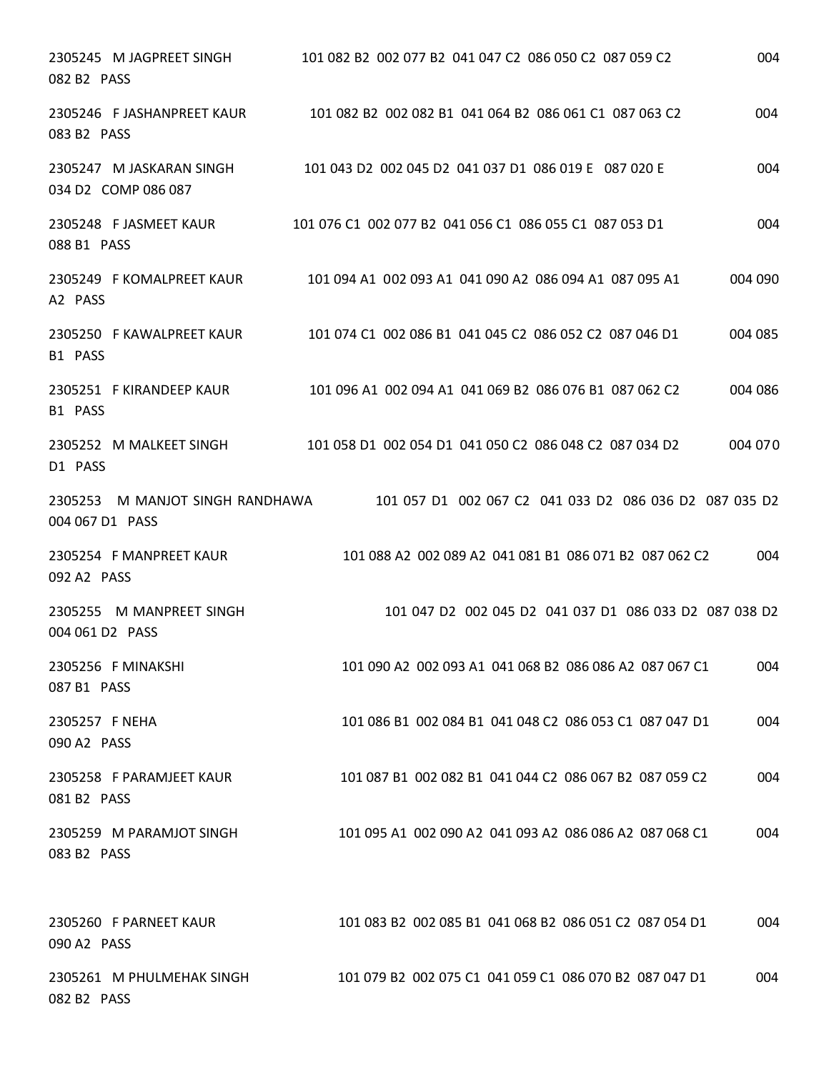| 2305245 M JAGPREET SINGH<br>082 B2 PASS            | 101 082 B2 002 077 B2 041 047 C2 086 050 C2 087 059 C2 | 004     |
|----------------------------------------------------|--------------------------------------------------------|---------|
| 2305246 F JASHANPREET KAUR<br>083 B2 PASS          | 101 082 B2 002 082 B1 041 064 B2 086 061 C1 087 063 C2 | 004     |
| 2305247 M JASKARAN SINGH<br>034 D2 COMP 086 087    | 101 043 D2 002 045 D2 041 037 D1 086 019 E 087 020 E   | 004     |
| 2305248 F JASMEET KAUR<br>088 B1 PASS              | 101 076 C1 002 077 B2 041 056 C1 086 055 C1 087 053 D1 | 004     |
| 2305249 F KOMALPREET KAUR<br>A2 PASS               | 101 094 A1 002 093 A1 041 090 A2 086 094 A1 087 095 A1 | 004 090 |
| 2305250 F KAWALPREET KAUR<br>B1 PASS               | 101 074 C1 002 086 B1 041 045 C2 086 052 C2 087 046 D1 | 004 085 |
| 2305251 F KIRANDEEP KAUR<br>B1 PASS                | 101 096 A1 002 094 A1 041 069 B2 086 076 B1 087 062 C2 | 004 086 |
| 2305252 M MALKEET SINGH<br>D1 PASS                 | 101 058 D1 002 054 D1 041 050 C2 086 048 C2 087 034 D2 | 004 070 |
| 2305253 M MANJOT SINGH RANDHAWA<br>004 067 D1 PASS | 101 057 D1 002 067 C2 041 033 D2 086 036 D2 087 035 D2 |         |
| 2305254 F MANPREET KAUR<br>092 A2 PASS             | 101 088 A2 002 089 A2 041 081 B1 086 071 B2 087 062 C2 | 004     |
| 2305255 M MANPREET SINGH<br>004 061 D2 PASS        | 101 047 D2 002 045 D2 041 037 D1 086 033 D2 087 038 D2 |         |
| 2305256 F MINAKSHI<br>087 B1 PASS                  | 101 090 A2 002 093 A1 041 068 B2 086 086 A2 087 067 C1 | 004     |
| 2305257 F NEHA<br>090 A2 PASS                      | 101 086 B1 002 084 B1 041 048 C2 086 053 C1 087 047 D1 | 004     |
| 2305258 F PARAMJEET KAUR<br>081 B2 PASS            | 101 087 B1 002 082 B1 041 044 C2 086 067 B2 087 059 C2 | 004     |
| 2305259 M PARAMJOT SINGH<br>083 B2 PASS            | 101 095 A1 002 090 A2 041 093 A2 086 086 A2 087 068 C1 | 004     |
| 2305260 F PARNEET KAUR<br>090 A2 PASS              | 101 083 B2 002 085 B1 041 068 B2 086 051 C2 087 054 D1 | 004     |
| 2305261 M PHULMEHAK SINGH<br>082 B2 PASS           | 101 079 B2 002 075 C1 041 059 C1 086 070 B2 087 047 D1 | 004     |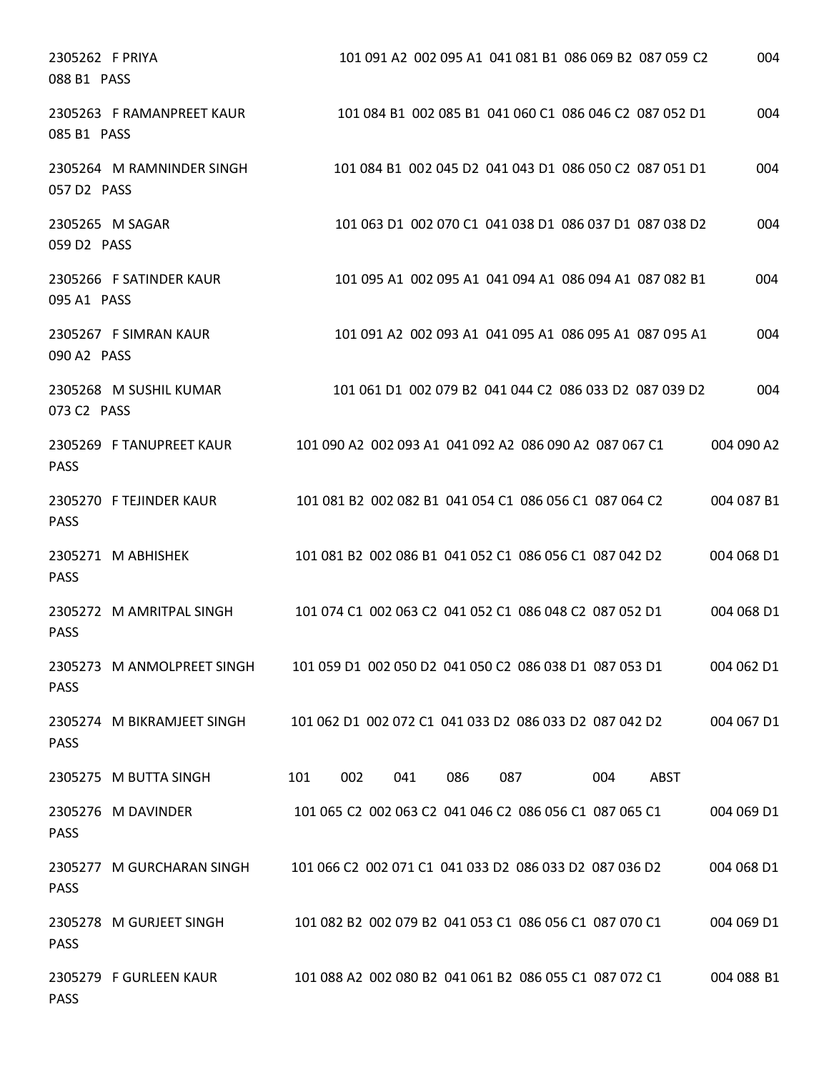| 2305262 F PRIYA<br>088 B1 PASS |                            |                                                        | 101 091 A2 002 095 A1 041 081 B1 086 069 B2 087 059 C2 |            |     |      | 004        |
|--------------------------------|----------------------------|--------------------------------------------------------|--------------------------------------------------------|------------|-----|------|------------|
| 085 B1 PASS                    | 2305263 F RAMANPREET KAUR  |                                                        | 101 084 B1 002 085 B1 041 060 C1 086 046 C2 087 052 D1 |            |     |      | 004        |
| 057 D2 PASS                    | 2305264 M RAMNINDER SINGH  |                                                        | 101 084 B1 002 045 D2 041 043 D1 086 050 C2 087 051 D1 |            |     |      | 004        |
| 059 D2 PASS                    | 2305265 M SAGAR            |                                                        | 101 063 D1 002 070 C1 041 038 D1 086 037 D1 087 038 D2 |            |     |      | 004        |
| 095 A1 PASS                    | 2305266 F SATINDER KAUR    |                                                        | 101 095 A1 002 095 A1 041 094 A1 086 094 A1 087 082 B1 |            |     |      | 004        |
| 090 A2 PASS                    | 2305267 F SIMRAN KAUR      |                                                        | 101 091 A2 002 093 A1 041 095 A1 086 095 A1 087 095 A1 |            |     |      | 004        |
| 073 C2 PASS                    | 2305268 M SUSHIL KUMAR     |                                                        | 101 061 D1 002 079 B2 041 044 C2 086 033 D2 087 039 D2 |            |     |      | 004        |
| <b>PASS</b>                    | 2305269 F TANUPREET KAUR   |                                                        | 101 090 A2 002 093 A1 041 092 A2 086 090 A2 087 067 C1 |            |     |      | 004 090 A2 |
| <b>PASS</b>                    | 2305270 F TEJINDER KAUR    |                                                        | 101 081 B2 002 082 B1 041 054 C1 086 056 C1 087 064 C2 |            |     |      | 004 087 B1 |
| <b>PASS</b>                    | 2305271 M ABHISHEK         |                                                        | 101 081 B2 002 086 B1 041 052 C1 086 056 C1 087 042 D2 |            |     |      | 004 068 D1 |
| <b>PASS</b>                    | 2305272 M AMRITPAL SINGH   |                                                        | 101 074 C1 002 063 C2 041 052 C1 086 048 C2 087 052 D1 |            |     |      | 004 068 D1 |
| <b>PASS</b>                    | 2305273 M ANMOLPREET SINGH |                                                        | 101 059 D1 002 050 D2 041 050 C2 086 038 D1 087 053 D1 |            |     |      | 004 062 D1 |
| <b>PASS</b>                    | 2305274 M BIKRAMJEET SINGH | 101 062 D1 002 072 C1 041 033 D2 086 033 D2 087 042 D2 |                                                        |            |     |      | 004 067 D1 |
|                                | 2305275 M BUTTA SINGH      | 101<br>002                                             | 041                                                    | 086<br>087 | 004 | ABST |            |
| <b>PASS</b>                    | 2305276 M DAVINDER         |                                                        | 101 065 C2 002 063 C2 041 046 C2 086 056 C1 087 065 C1 |            |     |      | 004 069 D1 |
| <b>PASS</b>                    | 2305277 M GURCHARAN SINGH  | 101 066 C2 002 071 C1 041 033 D2 086 033 D2 087 036 D2 |                                                        |            |     |      | 004 068 D1 |
| <b>PASS</b>                    | 2305278 M GURJEET SINGH    |                                                        | 101 082 B2 002 079 B2 041 053 C1 086 056 C1 087 070 C1 |            |     |      | 004 069 D1 |
| <b>PASS</b>                    | 2305279 F GURLEEN KAUR     |                                                        | 101 088 A2 002 080 B2 041 061 B2 086 055 C1 087 072 C1 |            |     |      | 004 088 B1 |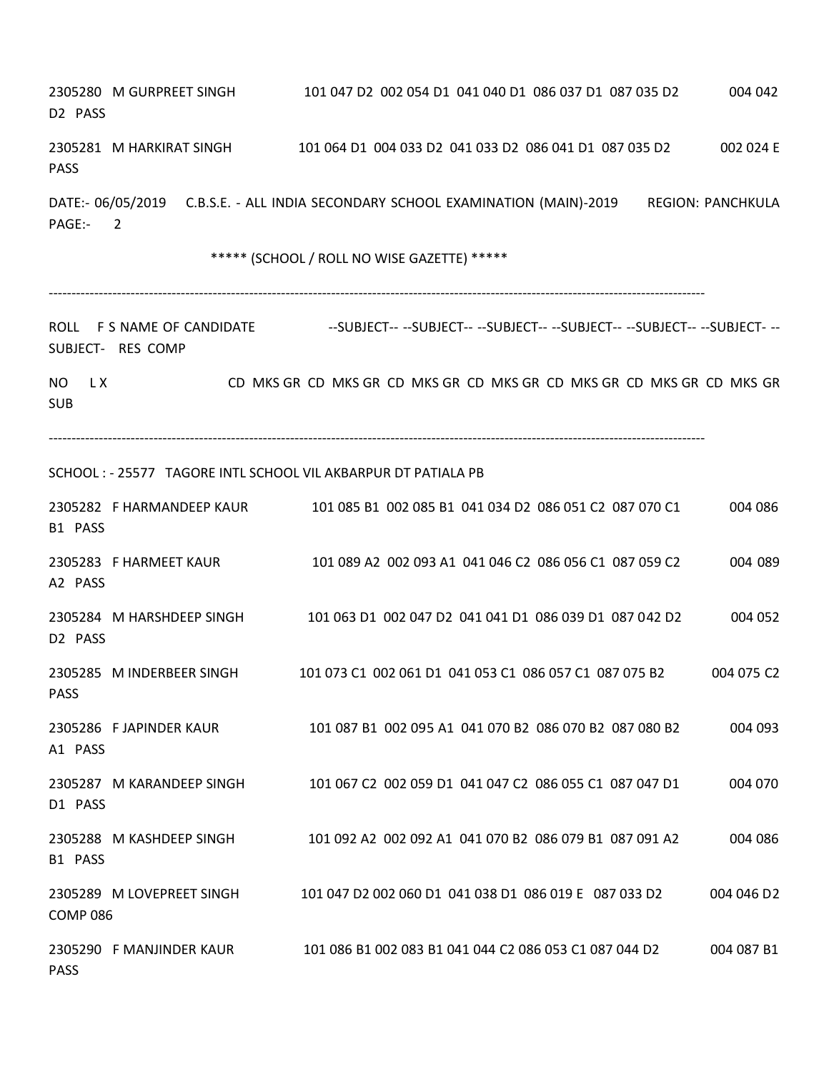| D <sub>2</sub> PASS      | 2305280 M GURPREET SINGH                        | 101 047 D2 002 054 D1 041 040 D1 086 037 D1 087 035 D2                                      | 004 042                  |
|--------------------------|-------------------------------------------------|---------------------------------------------------------------------------------------------|--------------------------|
| <b>PASS</b>              |                                                 | 2305281 M HARKIRAT SINGH 101 064 D1 004 033 D2 041 033 D2 086 041 D1 087 035 D2             | 002 024 E                |
| PAGE:-                   | $\overline{2}$                                  | DATE:- 06/05/2019 C.B.S.E. - ALL INDIA SECONDARY SCHOOL EXAMINATION (MAIN)-2019             | <b>REGION: PANCHKULA</b> |
|                          |                                                 | ***** (SCHOOL / ROLL NO WISE GAZETTE) *****                                                 |                          |
|                          | ROLL F S NAME OF CANDIDATE<br>SUBJECT- RES COMP | --SUBJECT--    --SUBJECT--    --SUBJECT--    --SUBJECT--    --SUBJECT--    --SUBJECT-    -- |                          |
| LX.<br>NO.<br><b>SUB</b> |                                                 | CD MKS GR CD MKS GR CD MKS GR CD MKS GR CD MKS GR CD MKS GR CD MKS GR                       |                          |
|                          |                                                 | SCHOOL: - 25577 TAGORE INTL SCHOOL VIL AKBARPUR DT PATIALA PB                               |                          |
| B1 PASS                  | 2305282 F HARMANDEEP KAUR                       | 101 085 B1 002 085 B1 041 034 D2 086 051 C2 087 070 C1                                      | 004 086                  |
| A2 PASS                  | 2305283 F HARMEET KAUR                          | 101 089 A2 002 093 A1 041 046 C2 086 056 C1 087 059 C2                                      | 004 089                  |
| D2 PASS                  | 2305284 M HARSHDEEP SINGH                       | 101 063 D1 002 047 D2 041 041 D1 086 039 D1 087 042 D2                                      | 004 052                  |
| <b>PASS</b>              | 2305285 M INDERBEER SINGH                       | 101 073 C1 002 061 D1 041 053 C1 086 057 C1 087 075 B2                                      | 004 075 C2               |
| A1 PASS                  | 2305286 F JAPINDER KAUR                         | 101 087 B1 002 095 A1 041 070 B2 086 070 B2 087 080 B2                                      | 004 093                  |
| D1 PASS                  | 2305287 M KARANDEEP SINGH                       | 101 067 C2 002 059 D1 041 047 C2 086 055 C1 087 047 D1                                      | 004 070                  |
| B1 PASS                  | 2305288 M KASHDEEP SINGH                        | 101 092 A2 002 092 A1 041 070 B2 086 079 B1 087 091 A2                                      | 004 086                  |
| <b>COMP 086</b>          | 2305289 M LOVEPREET SINGH                       | 101 047 D2 002 060 D1 041 038 D1 086 019 E 087 033 D2                                       | 004 046 D <sub>2</sub>   |
| <b>PASS</b>              | 2305290 F MANJINDER KAUR                        | 101 086 B1 002 083 B1 041 044 C2 086 053 C1 087 044 D2                                      | 004 087 B1               |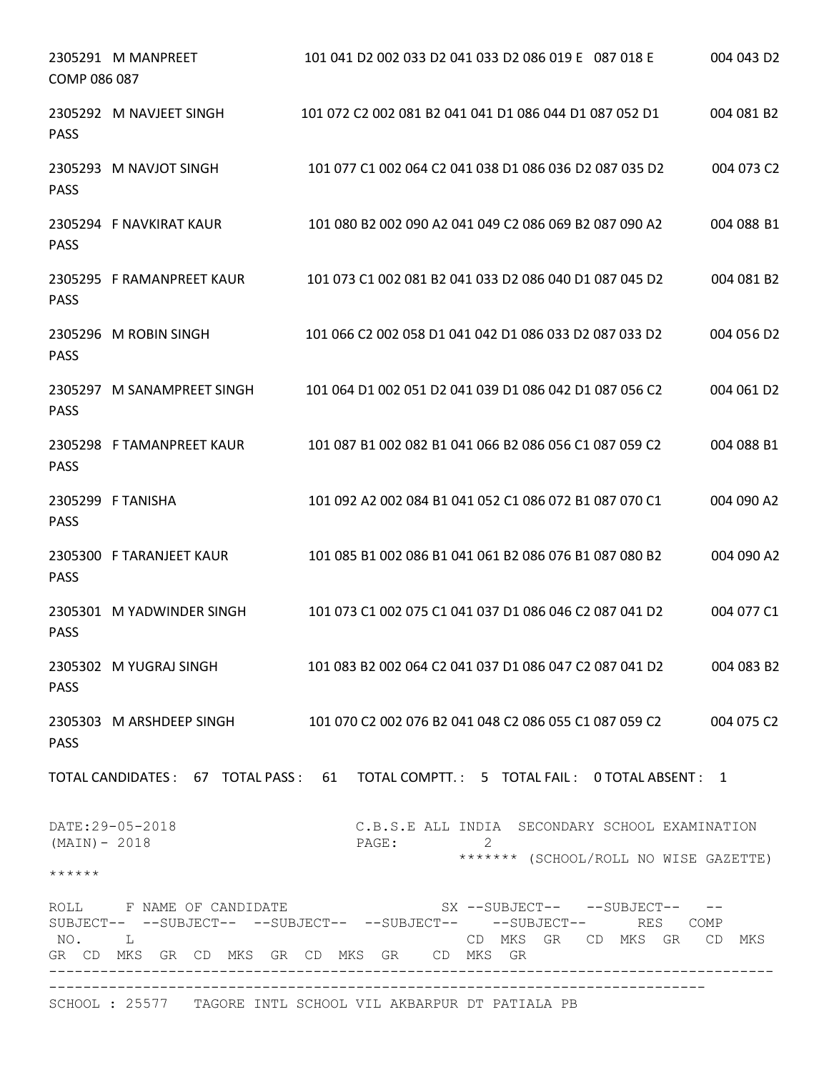| COMP 086 087              | 2305291 M MANPREET         | 101 041 D2 002 033 D2 041 033 D2 086 019 E 087 018 E                                                                                                                              | 004 043 D2 |
|---------------------------|----------------------------|-----------------------------------------------------------------------------------------------------------------------------------------------------------------------------------|------------|
| <b>PASS</b>               | 2305292 M NAVJEET SINGH    | 101 072 C2 002 081 B2 041 041 D1 086 044 D1 087 052 D1                                                                                                                            | 004 081 B2 |
| <b>PASS</b>               | 2305293 M NAVJOT SINGH     | 101 077 C1 002 064 C2 041 038 D1 086 036 D2 087 035 D2                                                                                                                            | 004 073 C2 |
| <b>PASS</b>               | 2305294 F NAVKIRAT KAUR    | 101 080 B2 002 090 A2 041 049 C2 086 069 B2 087 090 A2                                                                                                                            | 004 088 B1 |
| <b>PASS</b>               | 2305295 F RAMANPREET KAUR  | 101 073 C1 002 081 B2 041 033 D2 086 040 D1 087 045 D2                                                                                                                            | 004 081 B2 |
| <b>PASS</b>               | 2305296 M ROBIN SINGH      | 101 066 C2 002 058 D1 041 042 D1 086 033 D2 087 033 D2                                                                                                                            | 004 056 D2 |
| <b>PASS</b>               | 2305297 M SANAMPREET SINGH | 101 064 D1 002 051 D2 041 039 D1 086 042 D1 087 056 C2                                                                                                                            | 004 061 D2 |
| <b>PASS</b>               | 2305298 F TAMANPREET KAUR  | 101 087 B1 002 082 B1 041 066 B2 086 056 C1 087 059 C2                                                                                                                            | 004 088 B1 |
| <b>PASS</b>               | 2305299 F TANISHA          | 101 092 A2 002 084 B1 041 052 C1 086 072 B1 087 070 C1                                                                                                                            | 004 090 A2 |
| <b>PASS</b>               | 2305300 F TARANJEET KAUR   | 101 085 B1 002 086 B1 041 061 B2 086 076 B1 087 080 B2                                                                                                                            | 004 090 A2 |
| <b>PASS</b>               | 2305301 M YADWINDER SINGH  | 101 073 C1 002 075 C1 041 037 D1 086 046 C2 087 041 D2                                                                                                                            | 004 077 C1 |
| <b>PASS</b>               |                            | 2305302 M YUGRAJ SINGH 101 083 B2 002 064 C2 041 037 D1 086 047 C2 087 041 D2 004 083 B2                                                                                          |            |
| <b>PASS</b>               |                            | 2305303 M ARSHDEEP SINGH 101 070 C2 002 076 B2 041 048 C2 086 055 C1 087 059 C2 004 075 C2                                                                                        |            |
|                           |                            | TOTAL CANDIDATES: 67 TOTAL PASS: 61 TOTAL COMPTT.: 5 TOTAL FAIL: 0 TOTAL ABSENT: 1                                                                                                |            |
| $(MAIN) - 2018$<br>****** | DATE: 29-05-2018           | C.B.S.E ALL INDIA SECONDARY SCHOOL EXAMINATION<br>PAGE:<br>******* (SCHOOL/ROLL NO WISE GAZETTE)                                                                                  |            |
| NO. L                     | ROLL F NAME OF CANDIDATE   | $SX$ --SUBJECT-- --SUBJECT-- --<br>SUBJECT-- --SUBJECT-- --SUBJECT-- --SUBJECT-- --SUBJECT-- RES COMP<br>CD MKS GR CD MKS GR CD MKS<br>GR CD MKS GR CD MKS GR CD MKS GR CD MKS GR |            |
|                           |                            | SCHOOL: 25577 TAGORE INTL SCHOOL VIL AKBARPUR DT PATIALA PB                                                                                                                       |            |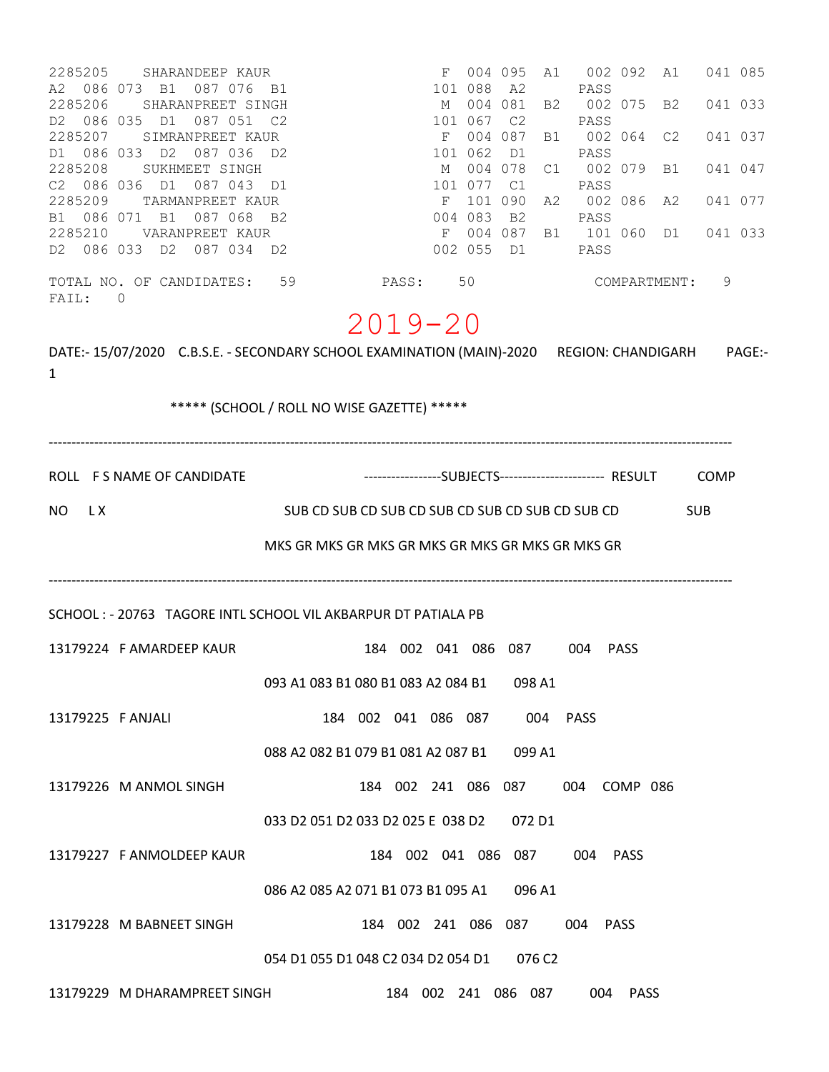| 2285205<br>SHARANDEEP KAUR<br>A2 086 073 B1 087 076<br>- B1<br>2285206<br>SHARANPREET SINGH<br>D2 086 035 D1<br>087 051<br>C <sub>2</sub><br>2285207<br>SIMRANPREET KAUR<br>D1 086 033 D2<br>087 036<br>D2<br>2285208<br>SUKHMEET SINGH<br>C2 086 036 D1<br>087 043<br>D1<br>2285209<br>TARMANPREET KAUR<br>B1 086 071 B1<br>087 068<br>B2<br>2285210<br>VARANPREET KAUR<br>D2 086 033 D2 087 034 D2 | M<br>M                                           | F<br>101 088<br>101 067<br>F<br>101 062<br>101 077<br>$-F$<br>004 083<br>002 055 D1 | 004 095<br>A2<br>004 081<br>C <sub>2</sub><br>004 087<br>D1<br>004 078<br>C1<br>101 090<br>B2 | A1<br>PASS<br>B2<br>PASS<br>B1<br>PASS<br>C1<br>PASS<br>A2<br>PASS<br>PASS | 002 092<br>002 075<br>002 064<br>002 079<br>002 086 A2<br>F 004 087 B1 101 060 D1 | A1<br>B <sub>2</sub><br>C2<br>B1 | 041 085<br>041 033<br>041 037<br>041 047<br>041 077<br>041 033 |
|------------------------------------------------------------------------------------------------------------------------------------------------------------------------------------------------------------------------------------------------------------------------------------------------------------------------------------------------------------------------------------------------------|--------------------------------------------------|-------------------------------------------------------------------------------------|-----------------------------------------------------------------------------------------------|----------------------------------------------------------------------------|-----------------------------------------------------------------------------------|----------------------------------|----------------------------------------------------------------|
| TOTAL NO. OF CANDIDATES: 59<br>0<br>FAIL:                                                                                                                                                                                                                                                                                                                                                            | PASS:                                            | 50                                                                                  |                                                                                               |                                                                            | COMPARTMENT:                                                                      |                                  | 9                                                              |
| DATE:- 15/07/2020 C.B.S.E. - SECONDARY SCHOOL EXAMINATION (MAIN)-2020 REGION: CHANDIGARH<br>1<br>***** (SCHOOL / ROLL NO WISE GAZETTE) *****                                                                                                                                                                                                                                                         | $2019 - 20$                                      |                                                                                     |                                                                                               |                                                                            |                                                                                   |                                  | PAGE:-                                                         |
| ROLL F S NAME OF CANDIDATE                                                                                                                                                                                                                                                                                                                                                                           |                                                  |                                                                                     |                                                                                               |                                                                            |                                                                                   |                                  |                                                                |
| NO.<br>L X<br>MKS GR MKS GR MKS GR MKS GR MKS GR MKS GR MKS GR                                                                                                                                                                                                                                                                                                                                       | SUB CD SUB CD SUB CD SUB CD SUB CD SUB CD SUB CD |                                                                                     |                                                                                               |                                                                            |                                                                                   | <b>SUB</b>                       |                                                                |
| SCHOOL: - 20763 TAGORE INTL SCHOOL VIL AKBARPUR DT PATIALA PB                                                                                                                                                                                                                                                                                                                                        |                                                  |                                                                                     |                                                                                               |                                                                            |                                                                                   |                                  |                                                                |
| 13179224 FAMARDEEP KAUR                                                                                                                                                                                                                                                                                                                                                                              | 184 002 041 086 087                              |                                                                                     |                                                                                               | 004                                                                        | PASS                                                                              |                                  |                                                                |
| 093 A1 083 B1 080 B1 083 A2 084 B1 098 A1                                                                                                                                                                                                                                                                                                                                                            |                                                  |                                                                                     |                                                                                               |                                                                            |                                                                                   |                                  |                                                                |
| 13179225 F ANJALI                                                                                                                                                                                                                                                                                                                                                                                    | 184 002 041 086 087 004 PASS                     |                                                                                     |                                                                                               |                                                                            |                                                                                   |                                  |                                                                |
| 088 A2 082 B1 079 B1 081 A2 087 B1 099 A1                                                                                                                                                                                                                                                                                                                                                            |                                                  |                                                                                     |                                                                                               |                                                                            |                                                                                   |                                  |                                                                |
| 13179226 M ANMOL SINGH                                                                                                                                                                                                                                                                                                                                                                               | 184 002 241 086 087 004 COMP 086                 |                                                                                     |                                                                                               |                                                                            |                                                                                   |                                  |                                                                |
| 033 D2 051 D2 033 D2 025 E 038 D2 072 D1                                                                                                                                                                                                                                                                                                                                                             |                                                  |                                                                                     |                                                                                               |                                                                            |                                                                                   |                                  |                                                                |
| 13179227 F ANMOLDEEP KAUR                                                                                                                                                                                                                                                                                                                                                                            | 184 002 041 086 087 004 PASS                     |                                                                                     |                                                                                               |                                                                            |                                                                                   |                                  |                                                                |
| 086 A2 085 A2 071 B1 073 B1 095 A1 096 A1                                                                                                                                                                                                                                                                                                                                                            |                                                  |                                                                                     |                                                                                               |                                                                            |                                                                                   |                                  |                                                                |
| 13179228 M BABNEET SINGH                                                                                                                                                                                                                                                                                                                                                                             | 184 002 241 086 087 004 PASS                     |                                                                                     |                                                                                               |                                                                            |                                                                                   |                                  |                                                                |
| 054 D1 055 D1 048 C2 034 D2 054 D1 076 C2                                                                                                                                                                                                                                                                                                                                                            |                                                  |                                                                                     |                                                                                               |                                                                            |                                                                                   |                                  |                                                                |
| 13179229 M DHARAMPREET SINGH    184 002 241 086 087                                                                                                                                                                                                                                                                                                                                                  |                                                  |                                                                                     |                                                                                               | 004 PASS                                                                   |                                                                                   |                                  |                                                                |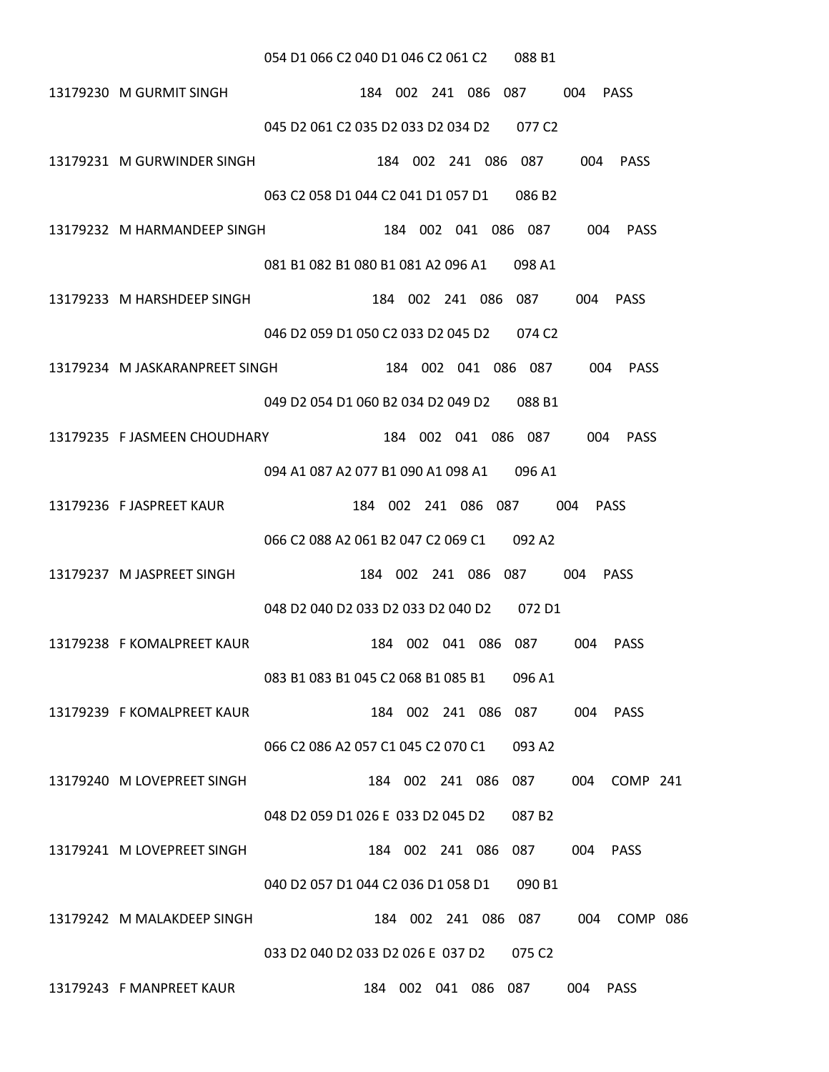#### 054 D1 066 C2 040 D1 046 C2 061 C2 088 B1

- 13179230 M GURMIT SINGH 184 002 241 086 087 004 PASS 045 D2 061 C2 035 D2 033 D2 034 D2 077 C2
- 13179231 M GURWINDER SINGH 184 002 241 086 087 004 PASS 063 C2 058 D1 044 C2 041 D1 057 D1 086 B2
- 13179232 M HARMANDEEP SINGH 184 002 041 086 087 004 PASS 081 B1 082 B1 080 B1 081 A2 096 A1 098 A1
- 13179233 M HARSHDEEP SINGH 184 002 241 086 087 004 PASS 046 D2 059 D1 050 C2 033 D2 045 D2 074 C2
- 13179234 M JASKARANPREET SINGH 184 002 041 086 087 004 PASS 049 D2 054 D1 060 B2 034 D2 049 D2 088 B1
- 13179235 F JASMEEN CHOUDHARY 184 002 041 086 087 004 PASS 094 A1 087 A2 077 B1 090 A1 098 A1 096 A1
- 13179236 F JASPREET KAUR 184 002 241 086 087 004 PASS 066 C2 088 A2 061 B2 047 C2 069 C1 092 A2
- 13179237 M JASPREET SINGH 184 002 241 086 087 004 PASS 048 D2 040 D2 033 D2 033 D2 040 D2 072 D1
- 13179238 F KOMALPREET KAUR 184 002 041 086 087 004 PASS 083 B1 083 B1 045 C2 068 B1 085 B1 096 A1
- 13179239 F KOMALPREET KAUR 184 002 241 086 087 004 PASS 066 C2 086 A2 057 C1 045 C2 070 C1 093 A2
- 13179240 M LOVEPREET SINGH 184 002 241 086 087 004 COMP 241 048 D2 059 D1 026 E 033 D2 045 D2 087 B2

### 13179241 M LOVEPREET SINGH 184 002 241 086 087 004 PASS

040 D2 057 D1 044 C2 036 D1 058 D1 090 B1

13179242 M MALAKDEEP SINGH 184 002 241 086 087 004 COMP 086

#### 033 D2 040 D2 033 D2 026 E 037 D2 075 C2

13179243 F MANPREET KAUR 184 002 041 086 087 004 PASS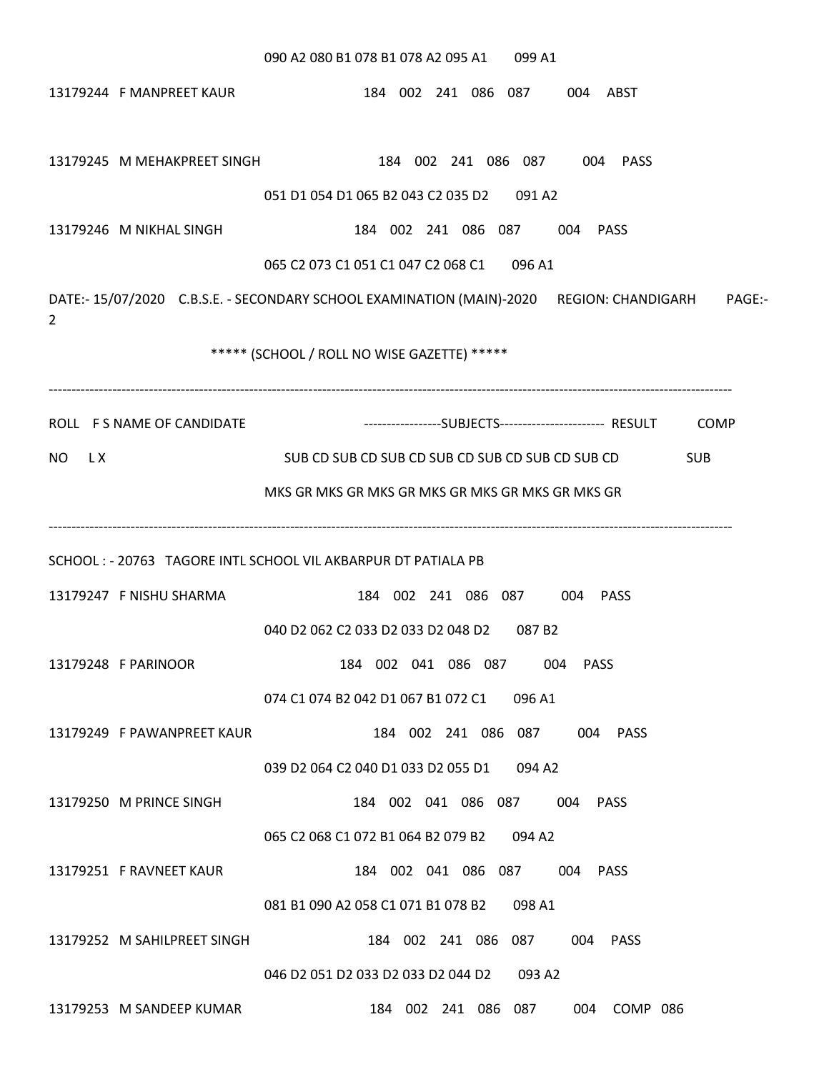# 090 A2 080 B1 078 B1 078 A2 095 A1 099 A1 13179244 F MANPREET KAUR 184 002 241 086 087 004 ABST 13179245 M MEHAKPREET SINGH 184 002 241 086 087 004 PASS 051 D1 054 D1 065 B2 043 C2 035 D2 091 A2 13179246 M NIKHAL SINGH 184 002 241 086 087 004 PASS 065 C2 073 C1 051 C1 047 C2 068 C1 096 A1 DATE:- 15/07/2020 C.B.S.E. - SECONDARY SCHOOL EXAMINATION (MAIN)-2020 REGION: CHANDIGARH PAGE:- 2 \*\*\*\*\* (SCHOOL / ROLL NO WISE GAZETTE) \*\*\*\*\* ------------------------------------------------------------------------------------------------------------------------------------------------------ ROLL FS NAME OF CANDIDATE -----------------------SUBJECTS----------------------- RESULT COMP NO LX SUB CD SUB CD SUB CD SUB CD SUB CD SUB CD SUB CD SUB CD SUB CD SUB CD MKS GR MKS GR MKS GR MKS GR MKS GR MKS GR MKS GR ------------------------------------------------------------------------------------------------------------------------------------------------------ SCHOOL : - 20763 TAGORE INTL SCHOOL VIL AKBARPUR DT PATIALA PB 13179247 F NISHU SHARMA 184 002 241 086 087 004 PASS 040 D2 062 C2 033 D2 033 D2 048 D2 087 B2 13179248 F PARINOOR 184 002 041 086 087 004 PASS 074 C1 074 B2 042 D1 067 B1 072 C1 096 A1 13179249 F PAWANPREET KAUR 184 002 241 086 087 004 PASS 039 D2 064 C2 040 D1 033 D2 055 D1 094 A2 13179250 M PRINCE SINGH 184 002 041 086 087 004 PASS 065 C2 068 C1 072 B1 064 B2 079 B2 094 A2 13179251 F RAVNEET KAUR 184 002 041 086 087 004 PASS 081 B1 090 A2 058 C1 071 B1 078 B2 098 A1 13179252 M SAHILPREET SINGH 184 002 241 086 087 004 PASS 046 D2 051 D2 033 D2 033 D2 044 D2 093 A2 13179253 M SANDEEP KUMAR 184 002 241 086 087 004 COMP 086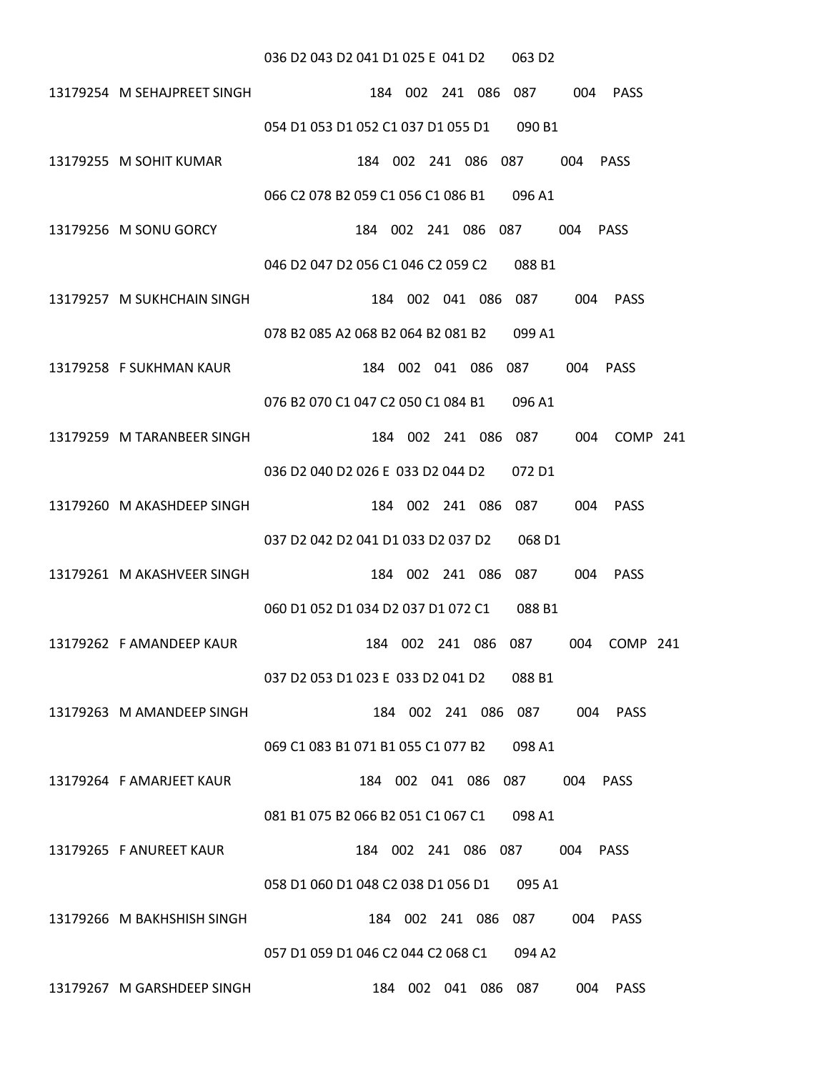#### 036 D2 043 D2 041 D1 025 E 041 D2 063 D2

- 13179254 M SEHAJPREET SINGH 184 002 241 086 087 004 PASS 054 D1 053 D1 052 C1 037 D1 055 D1 090 B1
- 13179255 M SOHIT KUMAR 184 002 241 086 087 004 PASS 066 C2 078 B2 059 C1 056 C1 086 B1 096 A1
- 13179256 M SONU GORCY 184 002 241 086 087 004 PASS

#### 046 D2 047 D2 056 C1 046 C2 059 C2 088 B1

- 13179257 M SUKHCHAIN SINGH 184 002 041 086 087 004 PASS 078 B2 085 A2 068 B2 064 B2 081 B2 099 A1
- 13179258 F SUKHMAN KAUR 184 002 041 086 087 004 PASS

#### 076 B2 070 C1 047 C2 050 C1 084 B1 096 A1

- 13179259 M TARANBEER SINGH 184 002 241 086 087 004 COMP 241 036 D2 040 D2 026 E 033 D2 044 D2 072 D1
- 13179260 M AKASHDEEP SINGH 184 002 241 086 087 004 PASS 037 D2 042 D2 041 D1 033 D2 037 D2 068 D1
- 13179261 M AKASHVEER SINGH 184 002 241 086 087 004 PASS 060 D1 052 D1 034 D2 037 D1 072 C1 088 B1
- 13179262 F AMANDEEP KAUR 184 002 241 086 087 004 COMP 241 037 D2 053 D1 023 E 033 D2 041 D2 088 B1
- 13179263 M AMANDEEP SINGH 184 002 241 086 087 004 PASS 069 C1 083 B1 071 B1 055 C1 077 B2 098 A1
- 13179264 F AMARJEET KAUR 184 002 041 086 087 004 PASS 081 B1 075 B2 066 B2 051 C1 067 C1 098 A1

- 13179265 F ANUREET KAUR 184 002 241 086 087 004 PASS 058 D1 060 D1 048 C2 038 D1 056 D1 095 A1
- 13179266 M BAKHSHISH SINGH 184 002 241 086 087 004 PASS

#### 057 D1 059 D1 046 C2 044 C2 068 C1 094 A2

13179267 M GARSHDEEP SINGH 184 002 041 086 087 004 PASS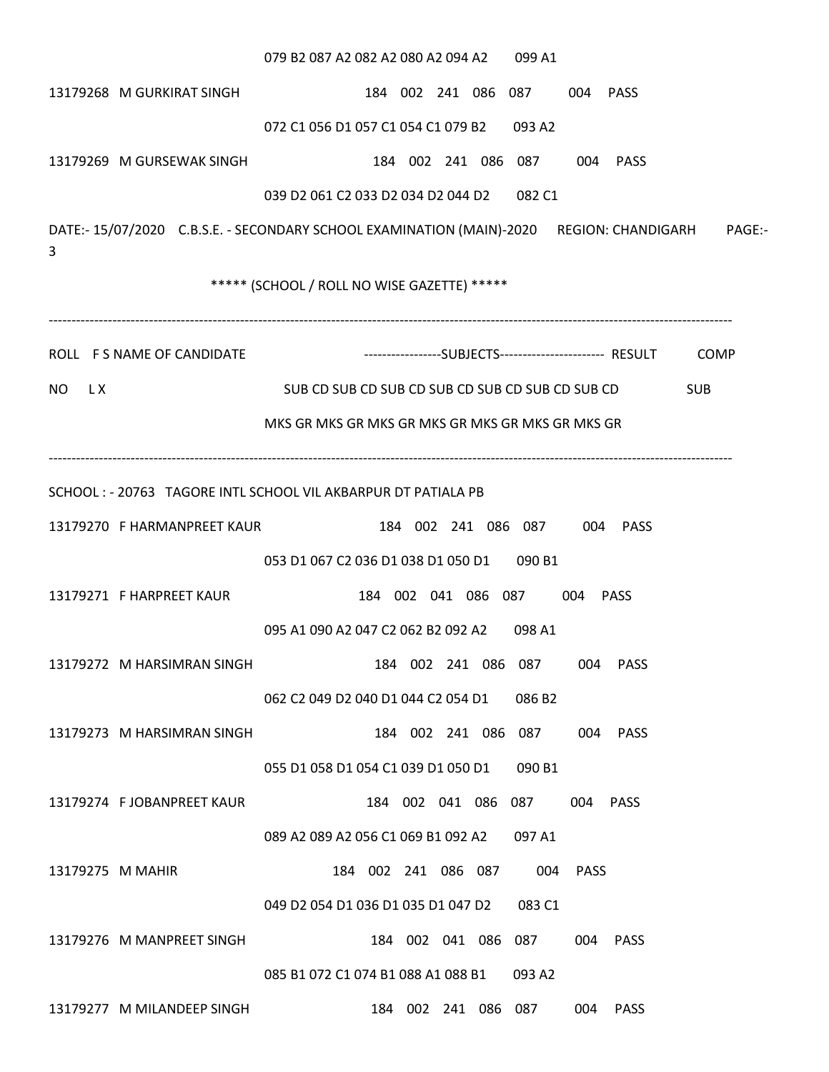079 B2 087 A2 082 A2 080 A2 094 A2 099 A1 13179268 M GURKIRAT SINGH 184 002 241 086 087 004 PASS 072 C1 056 D1 057 C1 054 C1 079 B2 093 A2 13179269 M GURSEWAK SINGH 184 002 241 086 087 004 PASS 039 D2 061 C2 033 D2 034 D2 044 D2 082 C1 DATE:- 15/07/2020 C.B.S.E. - SECONDARY SCHOOL EXAMINATION (MAIN)-2020 REGION: CHANDIGARH PAGE:- 3 \*\*\*\*\* (SCHOOL / ROLL NO WISE GAZETTE) \*\*\*\*\* ------------------------------------------------------------------------------------------------------------------------------------------------------ ROLL FS NAME OF CANDIDATE -------------------------------SUBJECTS------------------------- RESULT COMP NO LX SUB CD SUB CD SUB CD SUB CD SUB CD SUB CD SUB CD SUB CD SUB CD MKS GR MKS GR MKS GR MKS GR MKS GR MKS GR MKS GR ------------------------------------------------------------------------------------------------------------------------------------------------------ SCHOOL : - 20763 TAGORE INTL SCHOOL VIL AKBARPUR DT PATIALA PB 13179270 F HARMANPREET KAUR 184 002 241 086 087 004 PASS 053 D1 067 C2 036 D1 038 D1 050 D1 090 B1 13179271 F HARPREET KAUR 184 002 041 086 087 004 PASS 095 A1 090 A2 047 C2 062 B2 092 A2 098 A1 13179272 M HARSIMRAN SINGH 184 002 241 086 087 004 PASS 062 C2 049 D2 040 D1 044 C2 054 D1 086 B2 13179273 M HARSIMRAN SINGH 184 002 241 086 087 004 PASS 055 D1 058 D1 054 C1 039 D1 050 D1 090 B1 13179274 F JOBANPREET KAUR 184 002 041 086 087 004 PASS 089 A2 089 A2 056 C1 069 B1 092 A2 097 A1 13179275 M MAHIR 184 002 241 086 087 004 PASS 049 D2 054 D1 036 D1 035 D1 047 D2 083 C1 13179276 M MANPREET SINGH 184 002 041 086 087 004 PASS 085 B1 072 C1 074 B1 088 A1 088 B1 093 A2 13179277 M MILANDEEP SINGH 184 002 241 086 087 004 PASS